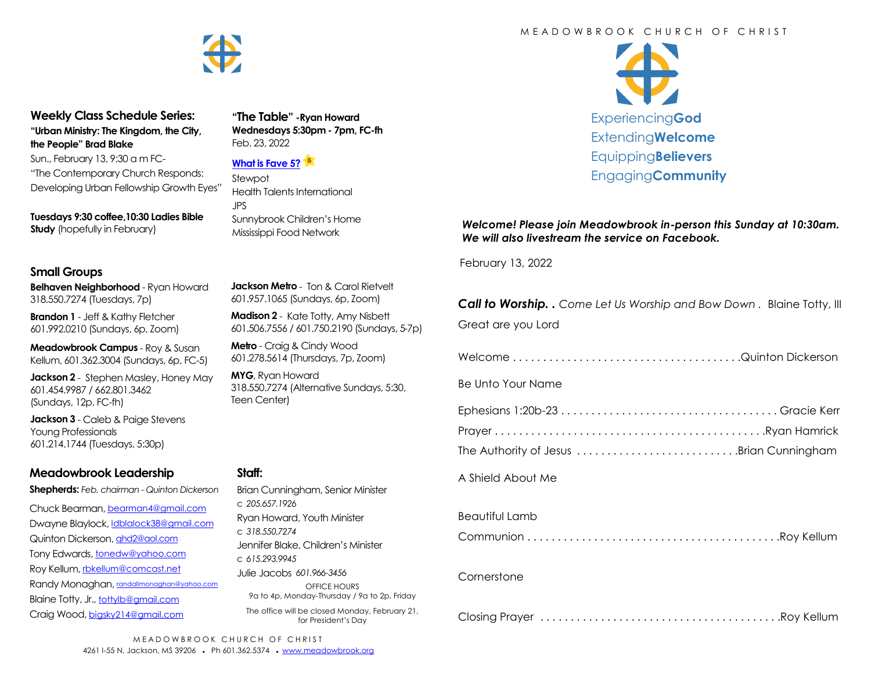

#### **Weekly Class Schedule Series: "Urban Ministry: The Kingdom, the City, the People" Brad Blake**

Sun., February 13, 9:30 a m FC- "The Contemporary Church Responds: Developing Urban Fellowship Growth Eyes"

**Tuesdays 9:30 coffee,10:30 Ladies Bible Study** (hopefully in February)

## **Small Groups**

**Belhaven Neighborhood** - Ryan Howard 318.550.7274 (Tuesdays, 7p)

**Brandon 1** - Jeff & Kathy Fletcher 601.992.0210 (Sundays, 6p, Zoom)

**Meadowbrook Campus** - Roy & Susan Kellum, 601.362.3004 (Sundays, 6p, FC-5)

**Jackson 2** - Stephen Masley, Honey May 601.454.9987 / 662.801.3462 (Sundays, 12p, FC-fh)

**Jackson 3** - Caleb & Paige Stevens Young Professionals 601.214.1744 (Tuesdays, 5:30p)

## **Meadowbrook Leadership**

**Shepherds:** *Feb. chairman - Quinton Dickerson*

Chuck Bearman, [bearman4@gmail.com](mailto:bearman4@gmail.com) Dwayne Blaylock, [ldblalock38@gmail.com](mailto:ldblaylock38@gmail.com) Quinton Dickerson, [qhd2@aol.com](mailto:qhd2@aol.com) Tony Edwards, [tonedw@yahoo.com](mailto:tonedw@yahoo.com) Roy Kellum, [rbkellum@comcast.net](mailto:rbkellum@comcast.net) Randy Monaghan, [randallmonaghan@yahoo.com](mailto:randallmonaghan@yahoo.com) Blaine Totty, Jr., [tottylb@gmail.com](mailto:tottylb@gmail.com) Craig Wood, [bigsky214@gmail.com](mailto:bigsky214@gmail.com)

**Jackson Metro** - Ton & Carol Rietvelt

**"The Table" -Ryan Howard Wednesdays 5:30pm - 7pm, FC-fh**

Health Talents International

Sunnybrook Children's Home Mississippi Food Network

Feb. 23, 2022

Stewpot

JPS

**[What is Fave 5?](https://meadowbrook.ccbchurch.com/group_detail.php?group_id=131)**

601.957.1065 (Sundays, 6p, Zoom)

**Madison 2** - Kate Totty, Amy Nisbett 601.506.7556 / 601.750.2190 (Sundays, 5-7p)

**Metro** - Craig & Cindy Wood 601.278.5614 (Thursdays, 7p, Zoom)

**MYG**, Ryan Howard 318.550.7274 (Alternative Sundays, 5:30, Teen Center)

## **Staff:**

#### M F A D O W B R O O K C H U R C H O F C H R I S T

W Experiencing**God** Extending**Welcome** Equipping**Believers** Engaging**Community**

*Welcome! Please join Meadowbrook in-person this Sunday at 10:30am. We will also livestream the service on Facebook.*

February 13, 2022

*Call to Worship. . Come Let Us Worship and Bow Down .* Blaine Totty, III Great are you Lord

Welcome . . . . . . . . . . . . . . . . . . . . . . . . . . . . . . . . . . . . . .Quinton Dickerson

Be Unto Your Name

| The Authority of Jesus Brian Cunningham |  |
|-----------------------------------------|--|

A Shield About Me

## Beautiful Lamb

Communion . . . . . . . . . . . . . . . . . . . . . . . . . . . . . . . . . . . . . . . . . .Roy Kellum

## **Cornerstone**

|--|--|--|